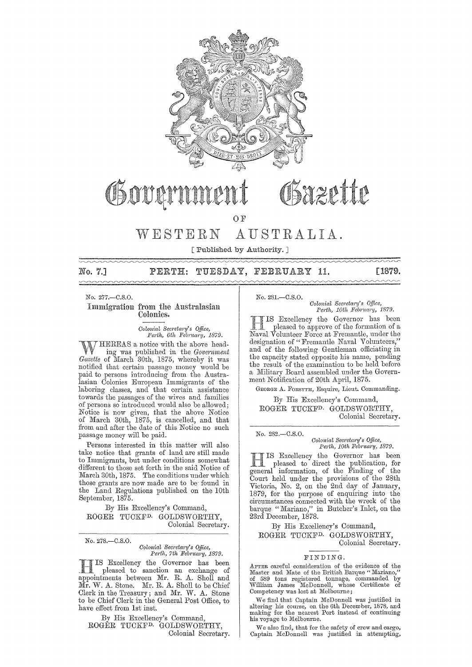

# Sazette OSOUAN

OF

# WESTERN AUSTRALIA.

[Published by Authority. ]

## 7.] PERTH: TUESDAY, FEBRUARY 11. [1879.

No. 277.-C.S.O.

### Immigration from the Australasian Colonies.

 $Colonial$  Secretary's Office, Perth, 6th February, 1879.

HEREAS a notice with the above head-'t/ l' ing was published in the *Government Gazette* of March 30th, 1875, whereby it was notified that certain passage money would be paid to persons introducing from the Australasian Colonies European Immigrants of the laboring classes, and that certain assistance towards the passages of the wives and families of persons so introduced would also be allowed; Notice is now given, that the above Notice of March 30th, 1875, is cancelled, and that from and after the date of this Notice no such passage money will be paid.

Persons interested in this matter will also take notice that grants of land are still made to Immigrants, but under conditions somewhat different to those set forth in the said Notice of March 30th, 1875. The conditions under which those grants are now made are to be' found in the Land Regulations published on the 10th September, 1875.

By His Excellency's Command, ROGER TUCKFD. GOLDSWORTHY, Colonial Secretary.

No. 278.-C.8.0.

#### *Colonial Secretary's Office,* Perth, 7th February, 1879.

**HIS Excellency the Governor has been**<br>pleased to sanction an exchange of appointments between Mr. R. A. Sholl and Mr. W. A. Stone. Mr. R. A. Sholl to be Chief Clerk in the Treasury; and Mr. W. A. Stone to be Chief Clerk in the General Post Office, to have effect from 1st inst.

By His Excellency's Command, ROGER TUCKFD, GOLDSWORTHY, Colonial Secretary. No. 281.-C.8.0.

*Colonial Secretary's Office, Perth, 10th February, 1879.* 

HIS Excellency the Governor has been . pleased to approve of the formation of a Naval Volunteer Force at Fremantle, under the designation of "Fremantle Naval Volunteers," and of the following Gentleman officiating in the capacity stated opposite his name, pending the result of the examination to be held before a Military Board assembled under the Government Notification of 20th April, 1875.

GEORGE A. FORSYTR, Esquire, Lieut. Commanding.

By His Excellency's Command, ROGER TUCKFD. GOLDSWORTHY,

Colonial Secretary.

No. 282.-C.8.0.

*Colonial SeC1'eta1'Y's Office, Perth, 10th February, 1879.* 

Excellency the Governor has been pleased to direct the publication, for general information, of the Finding of the Court held nnder the provisions of the 28th Victoria, No. 2, on the 2nd day of January, 1879, for the purpose of enquiring into the circumstances connected with the wreck of the barque" Mariano," in Butcher's Inlet, on the 23rd December, 1878.

By His Excellency's Command, ROGER TUCKFD. GOLDSWORTHY,

Colonial Secretary.

### FINDING.

AFTER careful consideration of the evidence of the Master and Mate of the British Barque "Mariano," of 589 tons registered tonnage, commanded by William James McDonnell, whose Certificate of Competency was lost at Melbourne;

We find that Captain McDonnell was justified in altering his course, on the 6th December, 1878, and making for the nearest Port instead of continuing his voyage to Melbourne.

We also find, that for the safety of crew and cargo, Captain McDonnell was justified in attempting,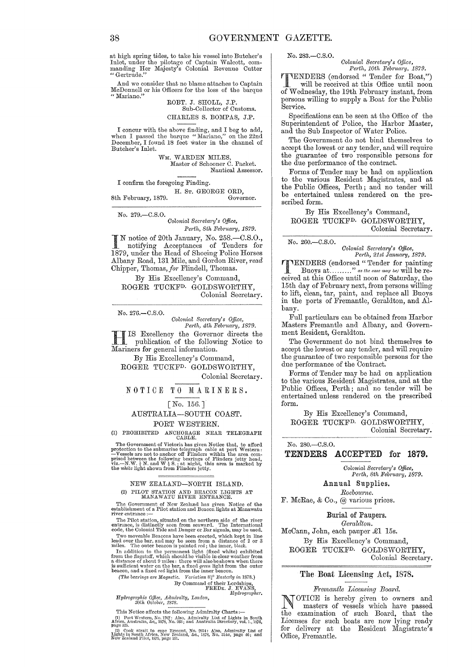at high spring tides, to take his vessel into Butcher's Inlet, under the pilotage of Captain Walcott, com-<br>manding Her Majesty's Colonial Revenue Cutter " Gertrude."

And we consider that no blame attaches to Captain McDonnell or his Officers for the loss of the barque "Mariano."

ROBT. J. SHOLL, J.P. Sub-Collector of Customs. CHARLES S. BOMPAS, J.P.

I concur with the above finding, and I beg to add, when I passed the barque "Mariano," on the 22nd December, I found 18 feet water in the channel of Butcher's Inlet.

> WM. WARDEN MILES, Master of Schooner C. Packet. Nautical Assessor.

I confirm the foregoing Finding.

H. Sr. GEORGE ORD, Governor. 8th February, 1879.

No. 279.-C.S.O.

*Colonial Secretary's Office,* Perth, 8th February, 1879.

I N notice of 20th January, No. 258.-0.S.0., notifying Acceptances of Tenders for 1879, under the Heacl of Shoeing Police Horses Albany Road, 131 Mile, and Gordon River, read Chipper, Thomas, for Flindell, Thomas.

By His Excellency's Oommand, ROGER TUOKFD. GOLDSWORTHY, Oolonial Secretary.

No. 276.-C.S.O.

*Colonic,l Sec1'eta1'y's Office, Perth, 4th Feb1'uc,ry, 1879.* 

HIS Excellency the Governor directs the publication of the following Notice to Mariners for general information.

By His Excellency's Oommand, ROGER TUOKFD. GOLDSWORTHY,

Oolonial Secretary.

NOTICE TO MARINERS.

## [No. 156. ] AUSTRALIA-SOUTH COAST.

PORT WESTERN.

(1) PROHIBITED ANCHORAGE NEAR TELEGRAPH CABLE.

The Government of Victoria has given Notice that, to afford<br>protection to the submarine telegraph cable at port Western:<br> $-\mathbf{V}$ essels are not to anchor off Flinders within the area com-<br>prised between the following bear

# NEW ZEALAND-NORTH ISLAND. (2) PILOT STATION AND BEACON LIGHTS AT MANAWATU RIVER ENTRANCE.

The Government of New Zealand has given Notice of the establishment of a Pilot station and Beacon lights at Manawatu river entrance :-

The Pilot station, situated on the northern side of the river<br>entrance, is distinctly seen from seaward. The International<br>code, the Colonial Tide and Danger or Bar signals, may be used.

Two moveable Beacons have been erected, which kept in line<br>lead over the bar, and may be seen from a distance of 2 or 3<br>miles. The outer beacon is painted red; the inner, black.<br>In addition to the permanent light (fixed w

By Command of their Lordships,<br>FRED<sub>K</sub>. J. EVANS,<br>*Hydrographer*.

*Hydrographic Office, Admiralty, London,*<br>30th *October, 1878.*<br>This Notice affects the following Admir

This Notice affects the following Admimlty Charts :- (1) Port Western, No. 1707: Also, Admirally List of Lights in South Africa, Australia, &c., 1878, No. 263; and Australia Directory, vol. 1., 1876, page 325.

l.ioff.com. if Cff. in the cape Egmont, No. 2054: Also, Admiralty List of Lights in South Africa, New Zealand, &c., 1878, No. 314a, page 46; and New Zealand Pilot, 1875, page 181

No. 283.-C.S.0.

*Colonial Secretary's Office, Perth, 10th February, 1879.* 

TENDERS (endorsed " Tender for Boat,") will be received at this Office until noon of Wednesday, the 19th February instant, from persons willing to supply a Boat for the Public Service.

Specifications can be seen at the Office of the Superintendent of Police, the Harbor Master, and the Sub Inspector of Water Police.

The Government do not bind themselves to accept the lowest or any tender, and will require the guarantee of two responsible persons for the due performance of the contract.

Forms of Tender may be had on application to the various Resident Magistrates, and at the Public Offices, Perth; and no tender will be entertained unless rendered on the prescribed form.

By His Excellency's Command, ROGER TUCKFD. GOLDSWORTHY, Colonial Secretary.

No. 260.-C.S.0.

*Colonial Secretary's Office, Perth,* 21st *Jantlary, 1879.* 

TENDERS (endorsed" Tender for painting Buoys at .........." *as the case may be)* will be received at this Office until noon of Saturday, the 15th day of February next, from persons willing to lift, clean, tar, paint, and replace all Buoys in the ports of Fremantle, Geraldton, and Albany.

Full particulars can be obtained from Harbor Masters Fremantle and Albany, and Government Resident, Geraldton.

The Government do not bind themselves to accept the lowest or any tender, and will require the guarantee of two responsible persons for the due performance of the Contract.

Forms of Tender may be had on application to the various Resident Magistrates, and at the Public Offices, Perth; and no tender will be entertained unless rendered on the prescribed form.

By His Excellency's Command, ROGER TUCKFD. GOLDSWORTHY, Colonial Secretary.

### No. 280.-C.S.0. TENDERS ACCEPTED for 1879.

*Colonial Secretary's Office, Perth, 8th February, 1879.* 

Annual Supplies. *Roeb01n·ne.* 

F. McRae, & Co., @ various prices.

Burial of Paupers.

 $Geraldton.$ McCann, John, each pauper £1 15s. By His Excellency's Command, ROGER TUCKFD. GOLDSWORTHY, Colonial Secretary.

### The Boat Licensing Act, 1878.

#### *Fremantle Licensing BoanZ.*

NOTICE is hereby given to owners and masters of vessels which have passed the examination of such Board, that the Licenses for such boats are now lying ready for delivery at the Resident Magistrate's Office, Fremantle.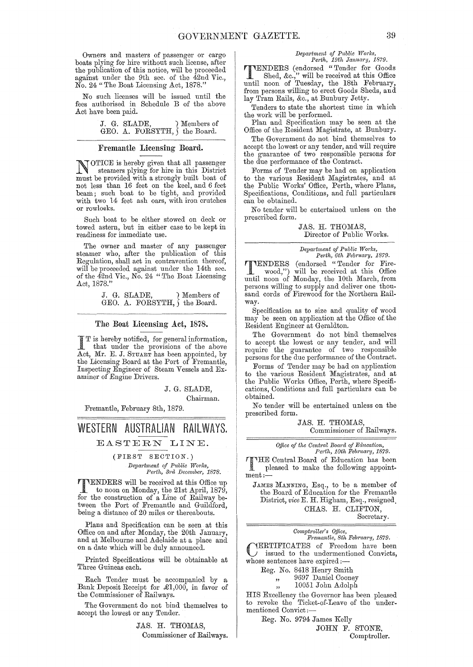Owners and masters of passenger or cargo boats plying for hire without such license, after the publication of this notice, will be proceeded against under the 9th sec. of the 42nd Vic., No. 24" The Boat Licensing Act, 1878."

No such licenses will be issued until the fees authorised in Schedule B of the above Act have been paid.

> J. G. SLADE, Members of GEO. A. FORSYTH,  $\{$  the Board. GEO. A. FORSYTH,  $\overline{\ }$

### Fremantle Licensing Board.

NOTICE is hereby given that all passenger steamers plying for hire in this District must be provided with a strongly built boat of not less than 16 feet on the keel, and 6 feet beam; such boat to be tight, and provided with two 14 feet ash oars, with iron crutches or rowlocks.

Such boat to be either stowed on deck or towed astern, but in either case to be kept in readiness for immediate use.

The owner and master of any passenger steamer who, after the publication of this Regulation, shall act in contravention thereof, will be proceeded against under the 14th sec. of the 42nd Vic., No. 24 "The Boat Licensing Act, 1878."

> J. G. SLADE, ) Members of GEO. A. FORSYTH,  $\int$  the Board.

### The Boat Licensing Act, 1878.

 $\prod_{i=1}^{n} T_i$  is hereby notified, for general information,<br>that under the provisions of the above Act, Mr. E. J. STUART has been appointed, by the Licensing Board at the Port of Fremantle, Inspecting Engineer of Steam Vessels and Examiner of Engine Drivers.

J. G. SLADE,

Chairman.

Fremantle, February 8th, 1879.

# **WESTERN AUSTRALIAN RAILWAYS.**

EASTERN LINE.

(FIRST SECTION.) *Department of Public Works, Perth, 3rd December, 1878.* 

TENDERS will be received at this Office up to noon on Monday, the 21st April, 1879, for the construction of a Line of Railway between the Port of Fremantle and Guildford, being a distance of 20 miles or thereabouts.

Plans and Specification can be seen at this Office on and after Monday, the 20th January, and at Melbourne and Adelaide at a place and on a date which will be duly announced.

Printed Specifications will be obtainable at Three Guineas each.

Each Tender must be accompanied by a Bank Deposit Receipt for £1,000, in favor of the Commissioner of Railways.

The Government do not bind themselves to accept the lowest or any Tender.

> JAS. H. THOMAS, Commissioner of Railways.

#### $Department of Public Works,$ *Perth, 19th January, 1879.*

**THENDERS** (endorsed "Tender for Goods<br>Shed, &c.," will be received at this Office<br>until noon of Tuesday, the 18th February Shed, &c.," will be received at this Office until noon of Tuesday, the 18th February, from persons willing to erect Goods Sheds, and lay Tram Rails, &c., at Bunbury Jetty.

Tenders to state the shortest time in which the work will be performed.

Plan and Specification may be seen at the Office of the Resident Magistrate, at Bunbury.

The Government do not bind themselves to accept the lowest or any tender, and will require the guarantee of two responsible persons for the due performance of the Contract.

Forms of Tender may be had on application to the various Resident Magistrates, and at the Public Works' Office, Perth, where Plans, Specifications, Conditions, and full particulars can be obtained.

No tender will be entertained unless on the prescribed form.

#### JAS. H. THOMAS, Director of Public Works.

*Department of Public Works, Perth, 6th February, 1879.* 

TENDERS (endorsed "Tender for Fire-wood,") will be received at this Office until noon of Monday, the 10th March, from persons willing to supply and deliver one thousand cords of Firewood for the Northern Railway.

Specification as to size and quality of wood may be seen on application at the Office of the Resident Engineer at Geraldton.

The Government do not bind themselves to accept the lowest or any tender, and will require the guarantee of two responsible persons for the due performance of the Contract.

Forms of Tender may be had on application to the various Resident Magistrates, and at the Public Works Office, Perth, where Specifications, Conditions and full particulars can be obtained.

No tender will be entertained unless on the prescribed form.

> JAS. H. THOMAS, Commissioner of Railways.

*Office of the Central Board of Education,*  $Perth$ ,  $10th$  February, 1879. Perth, 10th February, 1879.

THE Central Board of Education has been<br>pleased to make the following appointpleased to make the following appoint-<br>ment:-

JAMES MANNING, Esq., to be a member of the Board of Education for the Fremantle District, *vice* E. H. Higham, Esq., resigned. CHAS. H. CLIFTON,

Secretary.

| Comptroller's Office, |  |  |  |
|-----------------------|--|--|--|
|                       |  |  |  |

 $Fremantle, 8th February, 1879.$ CERTIFICATES of Freedom have been issued to the undermentioned Convicts, whose sentences have expired:-

Reg. No. 8418 Henry Smith

" 9697 Daniel Cooney

10051 John Adolph

HIS Excellency the Governor has been pleased to revoke the Ticket-of-Leave of the undermentioned Oonvict;-

Reg. No. 9794 James Kelly

JOHN F. STONE, Comptroller.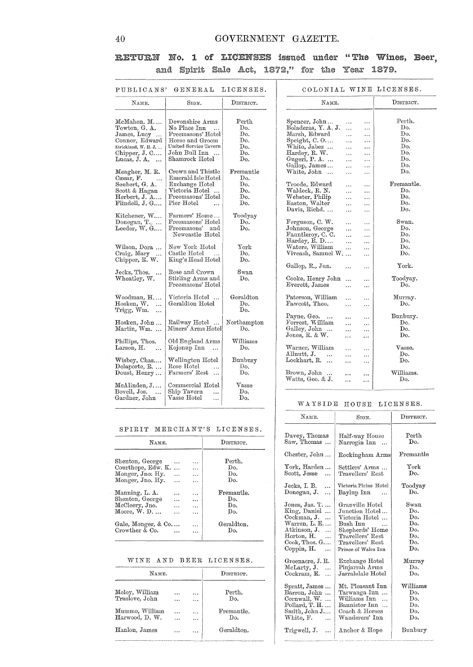# GOVERNMENT GAZETTE.

# RETURN No. 1 of LICENSES issued under "The Wines, Beer, and Spirit Sale Act, 1872," for the Year 1879.

| NAME.                                              | SIGN.                              | $_{\rm DISTRICT.}$ | NAME.                                                         | DISTRICT.         |
|----------------------------------------------------|------------------------------------|--------------------|---------------------------------------------------------------|-------------------|
|                                                    |                                    |                    |                                                               |                   |
| McMahon, M                                         | Devonshire Arms                    | Perth              | Spencer, John<br><br>$\ddotsc$                                | Perth.            |
| Towton, G. A.                                      | No Place Inn                       | Do.                | Boladeras, Y. A. J.<br>.<br>$\ddotsc$                         | Do.               |
| James, Lucy                                        | Freemasons' Hotel                  | Do.                | Marsh, Edward<br>$\ddotsc$<br>                                | Do.               |
| Connor, Edward                                     | Horse and Groom                    | Do.                | Speight, C.O<br>$\cdots$<br>$\cdots$                          | Do.               |
| Strickland, W. H. J.                               | United Service Tavern              | Do.                | White, Jabez<br>$\cdots$                                      | Do.               |
| Chipper, J. C                                      | John Bull Inn                      | Do.                | .<br>Hardey, R. W.                                            | Do.               |
| Lucas, J. A.                                       | Shamrock Hotel                     | Do.                | $\ddotsc$<br>$\cdots$<br>Gugeri, P. A.                        | Do.               |
| $\cdots$                                           |                                    |                    | $\cdots$<br>.<br>Gallop, James                                | Do.               |
|                                                    | Crown and Thistle                  | Fremantle          | $\ddotsc$<br>.<br>White, John                                 | Do.               |
| Meagher, M. R.                                     | Emerald Isle Hotel                 | Do.                | $\ddotsc$<br>$\ldots$                                         |                   |
| Cæsar, F.                                          |                                    |                    |                                                               |                   |
| Seubert, G. A.                                     | Exchange Hotel                     | Do.                | Troode, Edward<br>.<br>.                                      | Fremantle.<br>Do. |
| Scott & Hagan                                      | Victoria Hotel                     | Do.                | Waldeck, R. N.<br>$\cdots$<br>$\ddotsc$                       |                   |
| Herbert, J. A                                      | Freemasons' Hotel                  | Do.                | Webster, Philip<br>$\ddotsc$<br>.                             | Do.               |
| Flindell, J. G                                     | Pier Hotel<br>$\ddot{\phantom{a}}$ | Do.                | Easton, Walter<br><br>                                        | Do.               |
|                                                    |                                    |                    | Davis, Richd<br>$\cdots$<br>                                  | Do.               |
| Kitchener, W                                       | Farmers' Home                      | Toodyay            |                                                               |                   |
| Donegan, $T_{\cdot \circ \cdot \cdot \cdot \cdot}$ | Freemasons' Hotel                  | Do.                | Ferguson, C. W.<br>$\cdots$<br>$\ddotsc$                      | $_{\rm{Swan.}}$   |
| Leeder, W. G                                       | $F$ reemasons'<br>and              | Do.                | Johnson, George<br>$\cdots$<br>$\cdots$                       | Do.               |
|                                                    | Newcastle Hotel                    |                    | Fauntleroy, C. C.<br>$\ddotsc$<br>.                           | Do.               |
|                                                    |                                    |                    | Hardey, R. D<br>$\ddotsc$<br>                                 | Do.               |
| Wilson, Dora                                       | New York Hotel                     | ${\rm York}$       | Waters, William<br>$\ddotsc$<br>$\cdots$                      | Do.               |
| Craig, Mary<br>$\ddotsc$                           | Castle Hotel                       | Do.                | Viveash, Samuel W.<br>$\cdots$                                | Do.               |
| Chipper, R. W.                                     | King's Head Hotel                  | Do.                |                                                               |                   |
|                                                    |                                    |                    | Gallop, R., Jun.<br>$\ddotsc$<br>$\cdots$                     | York.             |
| Jecks, Thos.<br>$\ddotsc$                          | Rose and Crown                     | Swan               |                                                               |                   |
| Wheatley, W.                                       | Stirling Arms and                  | Do.                | Cooke, Henry John<br>$\ddotsc$<br>$\ddotsc$                   | Toodyay.          |
|                                                    | Freemasons' Hotel                  |                    | Everett, James<br><br>$\cdots$                                | Do.               |
|                                                    |                                    |                    |                                                               |                   |
| Woodman, H                                         | Victoria Hotel                     | Geraldton          | Paterson, William<br>$\ddotsc$<br>$\cdots$                    | Murray.           |
| Hosken, W.<br>$\ddotsc$                            | Geraldton Hotel                    | Do.                | Fawcett, Theo.<br>$\cdots$<br>$\cdots$                        | Do.               |
| Trigg, Wm.<br>$\ddotsc$                            |                                    | Do.                |                                                               |                   |
|                                                    |                                    |                    | Payne, Geo.<br>$\ddotsc$<br>$\cdots$<br>$\bullet$ + $\bullet$ | Bunbury.          |
| Hosken, John                                       | Railway Hotel                      | Northampton        | Forrest, William<br>$\cdots$<br>$\cdots$                      | Do.               |
| Martin, Wm.                                        | Miners' Arms Hotel                 | Do.                | Galley, John<br>.                                             | Do.               |
|                                                    |                                    |                    | $\ldots$<br>Jones, $R. & W.$<br>$\ddotsc$                     | Do.               |
| Phillips, Thos.                                    | Old England Arms                   | Williams           | $\ddotsc$                                                     |                   |
| Larson, H.<br>$\ddotsc$                            | Kojonup Inn<br>$\ddotsc$           | Do.                | Warner, William                                               | Vasse.            |
|                                                    |                                    |                    | $\cdots$<br>$\cdots$<br>Allnutt. J.<br>$\ddot{\phantom{a}}$   | Do.               |
| Wisbey, Chas                                       | Wellington Hotel                   | Bunbury            | $\cdots$<br>$\cdots$<br>Lockhart, R.                          | Do.               |
| Delaporte, R.                                      | Rose Hotel                         | Do.                | <br>$\ldots$                                                  |                   |
|                                                    | $\ddotsc$<br>Farmers' Rest         | Do.                | Brown, John                                                   | Williams.         |
| Doust, Henry                                       |                                    |                    | $\overline{\phantom{a}}$<br>$\ddotsc$<br>$\cdots$             |                   |
|                                                    |                                    |                    | Watts, Geo. & J.<br><br>$\cdots$                              | Do.               |
| McAlinden, J                                       | Commercial Hotel                   | $\rm{Vasse}$       |                                                               |                   |
| Bovell, Jos.<br>$\ddotsc$                          | Ship Tavern<br>$\ddotsc$           | Do.                |                                                               |                   |
| Gardner, John                                      | Vasse Hotel<br>$\ddotsc$           | Do.                |                                                               |                   |

#### SPIRIT MERCHANT'S LICENSES.

| NAME.                                                                         |               | DISTRICT.                             |                             |
|-------------------------------------------------------------------------------|---------------|---------------------------------------|-----------------------------|
| Shenton, George<br>Courthope, Edw. K.<br>Monger, Jno. Hy.<br>Monger, Jno. Hy. | .<br>$\cdots$ | <br>$\ddotsc$<br>$\ddot{\phantom{a}}$ | Perth.<br>Do.<br>Do.<br>Do. |
| Manning, L. A.                                                                |               | $\cdots$                              | Fremantle.                  |
| Shenton, George                                                               |               |                                       | Do.                         |
| McCleery, Jno.                                                                |               | $\ddotsc$                             | Do.                         |
| $M$ oore, $W.$ D                                                              |               | $\ddotsc$                             | Do.                         |
| Gale, Monger, & Co                                                            |               | $\ddotsc$                             | Geraldton.                  |
| Crowther & Co.                                                                |               |                                       | Do.                         |

### WINE AND BEER LICENSES.

| NAWE.                            | DISTRICT. |                   |
|----------------------------------|-----------|-------------------|
| Meloy, William<br>Truslove. John | $\cdots$  | Perth.<br>Do.     |
| Mumme, William<br>Harwood, D. W. |           | Fremantle.<br>Do. |
| Hanlon, James                    |           | Geraldton.        |
|                                  |           |                   |

# WAYSIDE HOUSE LICENSES.

| NAME.                                                                                                                                               | SIGN.                                                                                                                                                              | DISTRICT.                                                    |  |  |
|-----------------------------------------------------------------------------------------------------------------------------------------------------|--------------------------------------------------------------------------------------------------------------------------------------------------------------------|--------------------------------------------------------------|--|--|
| Davey, Thomas<br>Saw, Thomas                                                                                                                        | Half-way House<br>Narrogin Inn                                                                                                                                     | Perth<br>Do.                                                 |  |  |
| Chester, John                                                                                                                                       | Rockingham Arms                                                                                                                                                    | Fremantle                                                    |  |  |
| York, Harden<br>Scott, Jesse<br>$\ddotsc$                                                                                                           | Settlers' Arms<br>Travellers' Rest                                                                                                                                 | ${\tt York}$<br>Do.                                          |  |  |
| Jecks, I. B.<br>$\ddotsc$<br>Donegan, J.<br>.                                                                                                       | Victoria Plains Hotel<br>Baylup Inn<br>$\ddotsc$                                                                                                                   | Toodyay<br>Do.                                               |  |  |
| Jones, Jas. T.<br>King, Daniel<br>Cockman. J.<br>Warren, L. E.<br>Atkinson, J.<br>$H$ orton, $H$ .<br>$\cdots$<br>$Cook$ , Thos. $G$<br>Coppin, $H$ | Granville Hotel<br>Junction Hotel<br>Victoria Hotel<br>Bush Inn<br>$\sim$ $\sim$<br>Shepherds' Home<br>Travellers' Rest<br>Travellers' Rest<br>Prince of Wales Inn | Swan<br>Do.<br>Do.<br>Do.<br>Do.<br>Do.<br>Do.<br>Do.        |  |  |
| Greenacre, J. R.<br>McLarty, J.<br>$\ddotsc$<br>Cockram, E.                                                                                         | Exchange Hotel<br>Pinjarrah Arms<br>Jarrahdale Hotel                                                                                                               | Murray<br>Do.<br>Do.                                         |  |  |
| Spratt, James<br>Barron, John<br>Cornwall, W.<br>Pollard, T. H<br>Smith, John J<br>White, F.<br>$\ddotsc$                                           | Mt. Pleasant Inn<br>Tarwanga Inn<br>Williams Inn<br>Bannister Inn<br>Coach & Horses<br>Wanderers' Inn                                                              | $\operatorname{Williams}$<br>Do.<br>Do.<br>Do.<br>Do.<br>Do. |  |  |
| Trigwell, J.<br>$\ddotsc$                                                                                                                           | Anchor & Hope                                                                                                                                                      | Bunbury                                                      |  |  |

### $40<sup>°</sup>$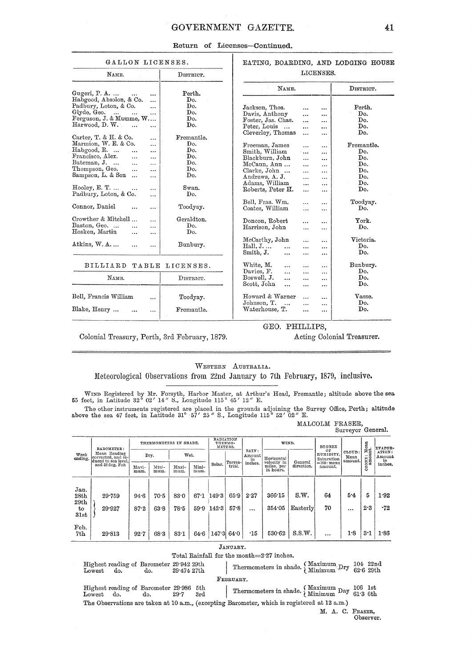# GOVERNMENT GAZETTE.

|  | Return of Licenses-Continued. |
|--|-------------------------------|
|  |                               |

| GALLON LICENSES.                                                                                                                                                                                                                                                                  |                                                 | EATING, BOARDING, AND LODGING HOUSE                                                                                                                                                                                                                                |                                                             |  |  |  |  |
|-----------------------------------------------------------------------------------------------------------------------------------------------------------------------------------------------------------------------------------------------------------------------------------|-------------------------------------------------|--------------------------------------------------------------------------------------------------------------------------------------------------------------------------------------------------------------------------------------------------------------------|-------------------------------------------------------------|--|--|--|--|
| NAME.                                                                                                                                                                                                                                                                             | DISTRICT.                                       | LICENSES.                                                                                                                                                                                                                                                          |                                                             |  |  |  |  |
| Gugeri, $P. A. $<br>                                                                                                                                                                                                                                                              | Perth.                                          | NAME.<br>s.                                                                                                                                                                                                                                                        | DISTRICT.                                                   |  |  |  |  |
| Habgood, Absolon, & Co.<br><br>Padbury, Loton, & Co.<br><br>Glyde, Geo.<br>$\sim$<br>$\ddotsc$<br>.<br>Ferguson, J. & Mumme, W<br>Harwood, D. W.<br>$\ddotsc$<br>$\ddotsc$<br>Carter, T. & H. & Co.<br>$\ddotsc$                                                                  | Do.<br>Do.<br>Do.<br>Do.<br>Do.<br>Fremantle.   | Jackson, Thos.<br>$\cdots$<br><br>Davis, Anthony<br>$\ddotsc$<br><br>Foster, Jas. Chas.<br>$\ddotsc$<br>$\cdots$<br>Peter, Louis<br>$\cdots$<br>$\cdots$<br>Cleverley, Thomas<br>$\ddotsc$<br>$\cdots$                                                             | Perth.<br>Do.<br>Do.<br>Do.<br>Do.                          |  |  |  |  |
| Marmion, W. E. & Co.<br>$\cdots$<br>Habgood, R.<br>$\cdots$<br>$\ddotsc$<br>Francisco, Alex.<br><br>$\ddot{\phantom{a}}$<br>Bateman, J.<br>$\cdots$<br>$\ddotsc$<br>Thompson, Geo.<br>$\dddotsc$<br>$\ddotsc$<br>Sampson, L. & Son<br>.<br>Hooley, E. T.<br>$\ddotsc$<br>$\cdots$ | Do.<br>Do.<br>Do.<br>Do.<br>Do.<br>Do.<br>Swan. | Freeman, James<br>$\cdots$<br>$\cdots$<br>Smith, William<br>$\ddotsc$<br><br>Blackburn, John<br>$\cdots$<br><br>McCann, Ann<br>$\ddotsc$<br>$\ddotsc$<br>Clarke, John<br>$\cdots$<br><br>Andrews, A. J.<br>$\ddotsc$<br><br>Adams, William<br>$\cdots$<br>$\ldots$ | Fremantle.<br>Do.<br>Do.<br>Do.<br>Do.<br>Do.<br>Do.<br>Do. |  |  |  |  |
| Padbury, Loton, & Co.<br><br>Connor, Daniel<br><br>$\cdots$                                                                                                                                                                                                                       | Do.<br>Toodyay.                                 | Roberts, Peter H.<br>$\ddotsc$<br><br>Bell, Fras. Wm.<br>$\cdots$<br><br>Coates, William<br>$\cdots$<br>                                                                                                                                                           | Toodyay.<br>Do.                                             |  |  |  |  |
| Crowther & Mitchell<br><br>Baston, Geo.<br>.<br>$\cdots$<br>Hosken, Martin<br>.<br>$\ddotsc$                                                                                                                                                                                      | Geraldton.<br>Do.<br>Do.                        | Doncon, Robert<br><br><br>Harrison, John<br>$\cdots$<br>                                                                                                                                                                                                           | York.<br>Do.                                                |  |  |  |  |
| Atkins, W. A.<br>.<br>$\ddotsc$                                                                                                                                                                                                                                                   | Bunbury.                                        | McCarthy, John<br>$\cdots$<br>$\cdots$<br>$Hall, J, \ldots$<br>$\ddotsc$<br>$\cdots$<br>$\cdots$<br>Smith, J.<br><br>$\cdots$<br>$\cdots$                                                                                                                          | Victoria.<br>Do.<br>Do.                                     |  |  |  |  |
| <b>BILLIARD</b><br>TABLE                                                                                                                                                                                                                                                          | LICENSES.                                       | White, M.<br>$\cdots$<br>$\cdots$<br><br>Davies, F.                                                                                                                                                                                                                | Bunbury.<br>Do.                                             |  |  |  |  |
| NAME.                                                                                                                                                                                                                                                                             | DISTRICT.                                       | $\ddotsc$<br>$\cdots$<br>$\ddotsc$<br>Boswell, J.<br>$\cdots$<br>$\cdots$<br><br>Scott, John<br>$\ddotsc$<br>$\cdots$<br>                                                                                                                                          | Do.<br>Do.                                                  |  |  |  |  |
| Bell, Francis William<br><br>Blake, Henry<br>$\cdots$<br>                                                                                                                                                                                                                         | Toodyay.<br>Fremantle.                          | Howard & Warner<br>$\cdots$<br>$\cdots$<br>Johnson, T.<br>$\ddotsc$<br>$\cdots$<br>$\cdots$<br>Waterhouse, T.<br>$\ddotsc$<br>$\cdots$                                                                                                                             | Vasse.<br>Do.<br>Do.                                        |  |  |  |  |

Colonial Treasury, Perth, 3rd February, 1879.

### GEO. PHILLIPS,

Acting Colonial Treasurer.

# WESTERN AUSTRALIA.

Meteorological Observations from 22nd January to 7th February, 1879, inclusive.

WIND Registered by Mr. Forsyth, Harbor Master, at Arthur's Head, Fremantle; altitude above the sea 55 feet, in Latitude 32° 02' 14" S., Longitude 115° 45' 12" E.

The other instruments registered are placed in the grounds adjoining the Survey Office, Perth; altitude above the sea 47 feet, in Latitude 31° 57' 25" S., Longitude 115° 52' 02" E.

MALCOLM FRASER,<br>Surveyor General.

|                    | BAROMETER:                                                |               | THERMOMETERS IN SHADE. |               |               |        | RADIATION<br>THERMO-<br>METERS. | RAIN:      | WIND.                                  |                       | <b>DEGREE</b>                 |                           |            | EVAPOR-          |
|--------------------|-----------------------------------------------------------|---------------|------------------------|---------------|---------------|--------|---------------------------------|------------|----------------------------------------|-----------------------|-------------------------------|---------------------------|------------|------------------|
| Week<br>ending.    | Mean Reading<br>corrected, and re-<br>duced to sea level. |               | Dry.                   |               | Wet.          |        | Amount                          |            | Horizontal                             |                       | OF<br>HUMIDITY,<br>Saturation | CLOUD:<br>Mean<br>amount. | EONE: Mean | ATION:<br>Amount |
|                    | and 32 deg. Fah                                           | Maxi-<br>mum. | Mini-<br>mum.          | Maxi-<br>mum. | Mini-<br>mum. | Solar. | Terres-l<br>trial.              | inches.    | velocity in<br>miles, per<br>24 hours. | General<br>direction. | $=100$ : mean<br>amount.      |                           | ö          | in<br>inches.    |
|                    |                                                           |               |                        |               |               |        |                                 |            |                                        |                       |                               |                           |            |                  |
| Jan.<br>28th       | 29.759                                                    | 94.6          | 70.5                   | 83.0          | 67.1          | 149.3  | 65.9                            | 2.27       | 366.15                                 | S.W.                  | 64                            | 5.4                       | 5          | 1.92             |
| 29th<br>to<br>31st | 29.927                                                    | 87.2          | 63.8                   | $78 - 5$      | 59.9          | 142.3  | 57.8                            | $\cdots$   | 354.05                                 | Easterly              | 70                            | $\cdots$                  | 2.3        | $-72$            |
| Feb.<br>7th        | 29.813                                                    | 92.7          | 68.3                   | $83 - 1$      | 64.6          | 147.3  | 64.0                            | $\cdot$ 15 | 530.62                                 | S.S.W.                |                               | 1.8                       | 3·1        | 1.86             |

Total Rainfall for the month=2.27 inches.

| Highest reading of Barometer 29.942 29th<br>Lowest do.<br>do. | 29.474 27th | Thermometers in shade. $\left\{\begin{array}{cc}\text{Maximum} & \text{Dry} & 104 & 22nd \\ \text{Minimum} & \text{Dry} & 62.6 & 29th \end{array}\right.$ |
|---------------------------------------------------------------|-------------|-----------------------------------------------------------------------------------------------------------------------------------------------------------|
|                                                               |             | FEBRUARY.                                                                                                                                                 |
| Highest reading of Barometer 29.986 5th<br>Lowest do.<br>do.  | 29.7<br>3rd | Thermometers in shade. $\left\{\n \begin{array}{c}\n \text{Maximum} & \text{Day} & 106 \\ \text{Minimum} & \text{Day} & 61.3 \\ \end{array}\n \right.$    |
|                                                               |             | The Observations are taken at 10 a.m., (excepting Barometer, which is registered at 12 a.m.)                                                              |
|                                                               |             |                                                                                                                                                           |

M. A. C. FRASER, Observer.